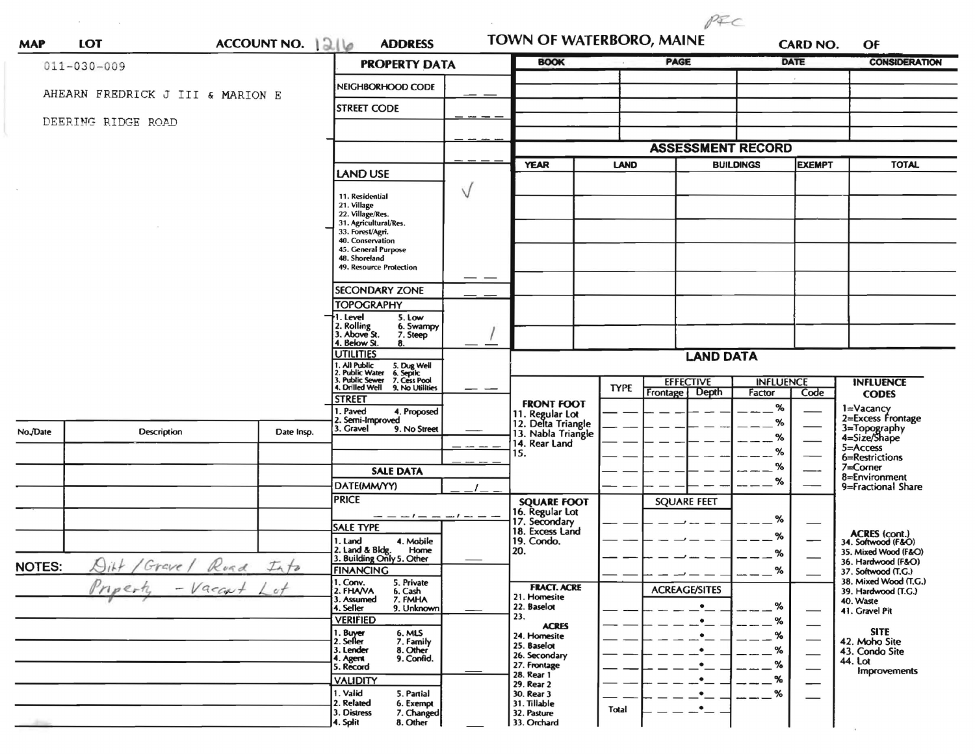| <b>MAP</b>    | <b>LOT</b>                                 | ACCOUNT NO. 1216 | <b>ADDRESS</b>                                                                                                            |  | TOWN OF WATERBORO, MAINE<br><b>BOOK</b>  |             | <b>PAGE</b>                          | <b>CARD NO.</b><br><b>DATE</b> |                                | OF<br><b>CONSIDERATION</b>                   |
|---------------|--------------------------------------------|------------------|---------------------------------------------------------------------------------------------------------------------------|--|------------------------------------------|-------------|--------------------------------------|--------------------------------|--------------------------------|----------------------------------------------|
|               | $011 - 030 - 009$                          |                  | <b>PROPERTY DATA</b>                                                                                                      |  |                                          |             |                                      |                                |                                |                                              |
|               | AHEARN FREDRICK J III & MARION E           |                  | NEIGHBORHOOD CODE                                                                                                         |  |                                          |             |                                      |                                |                                |                                              |
|               |                                            |                  | <b>STREET CODE</b>                                                                                                        |  |                                          |             |                                      |                                |                                |                                              |
|               | DEERING RIDGE ROAD                         |                  |                                                                                                                           |  |                                          |             |                                      |                                |                                |                                              |
|               |                                            |                  |                                                                                                                           |  |                                          |             | <b>ASSESSMENT RECORD</b>             |                                |                                |                                              |
|               |                                            |                  | <b>LAND USE</b>                                                                                                           |  | <b>YEAR</b><br><b>LAND</b>               |             |                                      | <b>BUILDINGS</b>               |                                | <b>TOTAL</b>                                 |
|               |                                            |                  |                                                                                                                           |  |                                          |             |                                      |                                |                                |                                              |
|               |                                            |                  | 11. Residential<br>21. Village                                                                                            |  |                                          |             |                                      |                                |                                |                                              |
|               |                                            |                  | 22. Village/Res.                                                                                                          |  |                                          |             |                                      |                                |                                |                                              |
|               |                                            |                  | 31. Agricultural/Res.<br>33. Forest/Agri.                                                                                 |  |                                          |             |                                      |                                |                                |                                              |
|               |                                            |                  | 40. Conservation<br>45. General Purpose                                                                                   |  |                                          |             |                                      |                                |                                |                                              |
|               |                                            |                  | 48. Shoreland<br>49. Resource Protection                                                                                  |  |                                          |             |                                      |                                |                                |                                              |
|               |                                            |                  |                                                                                                                           |  |                                          |             |                                      |                                |                                |                                              |
|               |                                            |                  | <b>SECONDARY ZONE</b>                                                                                                     |  |                                          |             |                                      |                                |                                |                                              |
|               |                                            |                  | <b>TOPOGRAPHY</b>                                                                                                         |  |                                          |             |                                      |                                |                                |                                              |
|               |                                            |                  | 1. Level<br>5. Low<br>2. Rolling<br>3. Above St.<br>6. Swampy                                                             |  |                                          |             |                                      |                                |                                |                                              |
|               |                                            |                  | 7. Steep<br>4. Below St.<br>8.                                                                                            |  |                                          |             |                                      |                                |                                |                                              |
|               |                                            |                  | <b>UTILITIES</b>                                                                                                          |  |                                          |             | <b>LAND DATA</b>                     |                                |                                |                                              |
|               |                                            |                  | 1. All Public 5. Dug Well<br>2. Public Water 6. Septic<br>3. Public Sewer 7. Cess Pool<br>4. Drilled Well 9. No Utilities |  |                                          |             |                                      |                                |                                |                                              |
|               |                                            |                  |                                                                                                                           |  |                                          | <b>TYPE</b> | <b>EFFECTIVE</b><br>Frontage   Depth | <b>INFLUENCE</b>               |                                | <b>INFLUENCE</b>                             |
|               |                                            |                  | <b>STREET</b>                                                                                                             |  | <b>FRONT FOOT</b>                        |             |                                      | Factor<br>%                    | Code                           | <b>CODES</b>                                 |
|               |                                            |                  | 1. Paved<br>4. Proposed<br>2. Semi-Improved                                                                               |  | 11. Regular Lot                          |             |                                      | %                              |                                | 1=Vacancy<br>2=Excess Frontage               |
| No./Date      | <b>Description</b>                         | Date Insp.       | 3. Gravel<br>9. No Street                                                                                                 |  | 12. Delta Triangle<br>13. Nabla Triangle |             |                                      | %                              |                                | 3=Topography<br>4=Size/Shape                 |
|               |                                            |                  |                                                                                                                           |  | 14. Rear Land<br>15.                     |             |                                      | %                              |                                | 5=Access                                     |
|               |                                            |                  |                                                                                                                           |  |                                          |             |                                      | %                              |                                | 6=Restrictions<br>7=Corner                   |
|               |                                            |                  | <b>SALE DATA</b>                                                                                                          |  |                                          |             |                                      | %                              |                                | 8=Environment                                |
|               |                                            |                  | DATE(MM/YY)<br><b>PRICE</b>                                                                                               |  |                                          |             |                                      |                                |                                | 9=Fractional Share                           |
|               |                                            |                  |                                                                                                                           |  | <b>SQUARE FOOT</b><br>16. Regular Lot    |             | <b>SQUARE FEET</b>                   |                                |                                |                                              |
|               |                                            |                  | <b>SALE TYPE</b>                                                                                                          |  | 17. Secondary                            |             |                                      | %                              |                                |                                              |
|               |                                            |                  | 4. Mobile<br>1. Land                                                                                                      |  | 18. Excess Land<br>19. Condo.            |             |                                      | %                              |                                | ACRES (cont.)<br>34. Softwood (F&O)          |
|               |                                            |                  | 2. Land & Bldg. Home<br>3. Building Only 5. Other<br>Home                                                                 |  | 20.                                      |             |                                      | %                              |                                | 35. Mixed Wood (F&O)<br>36. Hardwood (F&O)   |
| <b>NOTES:</b> | Ditt / Grave / Ruad<br>$\bigcup_{i\neq r}$ | Into             | <b>FINANCING</b>                                                                                                          |  |                                          |             |                                      | $\%$                           |                                | 37. Softwood (T.G.)                          |
|               | $-$ <i>Vaccut</i><br>Priperty              | et               | 1. Conv.<br>5. Private<br>2. FHAVA<br>6. Cash                                                                             |  | <b>FRACT. ACRE</b>                       |             | <b>ACREAGE/SITES</b>                 |                                |                                | 38. Mixed Wood (T.G.)<br>39. Hardwood (T.G.) |
|               |                                            |                  | 7. FMHA<br>3. Assumed<br>4. Seller<br>9. Unknown                                                                          |  | 21. Homesite<br>22. Baselot              |             | $\bullet$                            | %                              |                                | 40. Waste                                    |
|               |                                            |                  | <b>VERIFIED</b>                                                                                                           |  | 23.                                      |             | $\bullet$                            | %                              |                                | 41. Gravel Pit                               |
|               |                                            |                  | 1. Buy <del>er</del><br>2. Seller                                                                                         |  | <b>ACRES</b><br>24. Homesite             |             | ٠                                    | %                              |                                | <b>SITE</b>                                  |
|               |                                            |                  | 6. MLS<br>7. Family<br>8. Other<br>3. Lender                                                                              |  | 25. Baselot                              |             | $\bullet$                            | %                              | $\overbrace{\phantom{123321}}$ | 42. Moho Site<br>43. Condo Site              |
|               |                                            |                  | 9. Confid.<br>4. Agent<br>5. Record                                                                                       |  | 26. Secondary<br>27. Frontage            |             | $\bullet$                            | %                              |                                | 44. Lot                                      |
|               |                                            |                  | <b>VALIDITY</b>                                                                                                           |  | 28. Rear 1                               |             | $\cdot$ $\overline{\phantom{a}}$     | %                              |                                | <b>Improvements</b>                          |
|               |                                            |                  | 1. Valid<br>5. Partial                                                                                                    |  | 29. Rear 2<br>30. Rear 3                 |             | $\cdot$                              | %                              |                                |                                              |
|               |                                            |                  | 2. Related<br>6. Exempt<br>7. Changed<br>3. Distress                                                                      |  | 31. Tillable<br>32. Pasture              | Total       | $\cdot$ $-$                          |                                |                                |                                              |
|               |                                            |                  | 8. Other<br>4. Split                                                                                                      |  | 33. Orchard                              |             |                                      |                                |                                |                                              |